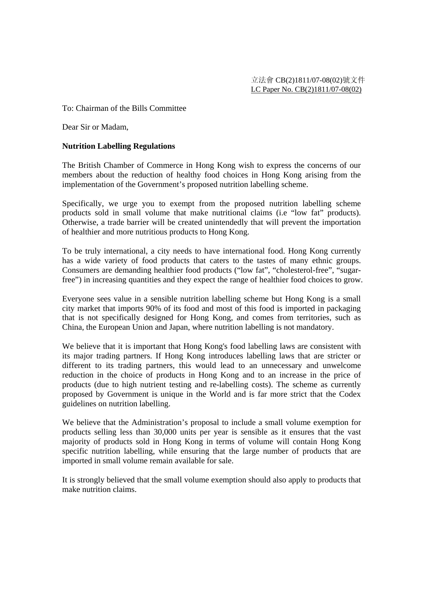## To: Chairman of the Bills Committee

Dear Sir or Madam,

## **Nutrition Labelling Regulations**

The British Chamber of Commerce in Hong Kong wish to express the concerns of our members about the reduction of healthy food choices in Hong Kong arising from the implementation of the Government's proposed nutrition labelling scheme.

Specifically, we urge you to exempt from the proposed nutrition labelling scheme products sold in small volume that make nutritional claims (i.e "low fat" products). Otherwise, a trade barrier will be created unintendedly that will prevent the importation of healthier and more nutritious products to Hong Kong.

To be truly international, a city needs to have international food. Hong Kong currently has a wide variety of food products that caters to the tastes of many ethnic groups. Consumers are demanding healthier food products ("low fat", "cholesterol-free", "sugarfree") in increasing quantities and they expect the range of healthier food choices to grow.

Everyone sees value in a sensible nutrition labelling scheme but Hong Kong is a small city market that imports 90% of its food and most of this food is imported in packaging that is not specifically designed for Hong Kong, and comes from territories, such as China, the European Union and Japan, where nutrition labelling is not mandatory.

We believe that it is important that Hong Kong's food labelling laws are consistent with its major trading partners. If Hong Kong introduces labelling laws that are stricter or different to its trading partners, this would lead to an unnecessary and unwelcome reduction in the choice of products in Hong Kong and to an increase in the price of products (due to high nutrient testing and re-labelling costs). The scheme as currently proposed by Government is unique in the World and is far more strict that the Codex guidelines on nutrition labelling.

We believe that the Administration's proposal to include a small volume exemption for products selling less than 30,000 units per year is sensible as it ensures that the vast majority of products sold in Hong Kong in terms of volume will contain Hong Kong specific nutrition labelling, while ensuring that the large number of products that are imported in small volume remain available for sale.

It is strongly believed that the small volume exemption should also apply to products that make nutrition claims.